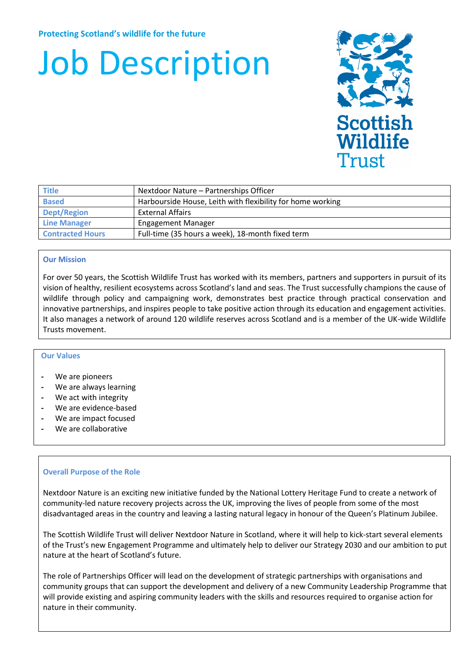# Job Description



| <b>Title</b>            | Nextdoor Nature - Partnerships Officer                     |
|-------------------------|------------------------------------------------------------|
| <b>Based</b>            | Harbourside House, Leith with flexibility for home working |
| <b>Dept/Region</b>      | <b>External Affairs</b>                                    |
| <b>Line Manager</b>     | <b>Engagement Manager</b>                                  |
| <b>Contracted Hours</b> | Full-time (35 hours a week), 18-month fixed term           |

# **Our Mission**

For over 50 years, the Scottish Wildlife Trust has worked with its members, partners and supporters in pursuit of its vision of healthy, resilient ecosystems across Scotland's land and seas. The Trust successfully champions the cause of wildlife through policy and campaigning work, demonstrates best practice through practical conservation and innovative partnerships, and inspires people to take positive action through its education and engagement activities. It also manages a network of around 120 wildlife reserves across Scotland and is a member of the UK-wide Wildlife Trusts movement.

# **Our Values**

- **-** We are pioneers
- **-** We are always learning
- **-** We act with integrity
- **-** We are evidence-based
- **-** We are impact focused
- **-** We are collaborative

# **Overall Purpose of the Role**

Nextdoor Nature is an exciting new initiative funded by the National Lottery Heritage Fund to create a network of community-led nature recovery projects across the UK, improving the lives of people from some of the most disadvantaged areas in the country and leaving a lasting natural legacy in honour of the Queen's Platinum Jubilee.

The Scottish Wildlife Trust will deliver Nextdoor Nature in Scotland, where it will help to kick-start several elements of the Trust's new Engagement Programme and ultimately help to deliver our Strategy 2030 and our ambition to put nature at the heart of Scotland's future.

The role of Partnerships Officer will lead on the development of strategic partnerships with organisations and community groups that can support the development and delivery of a new Community Leadership Programme that will provide existing and aspiring community leaders with the skills and resources required to organise action for nature in their community.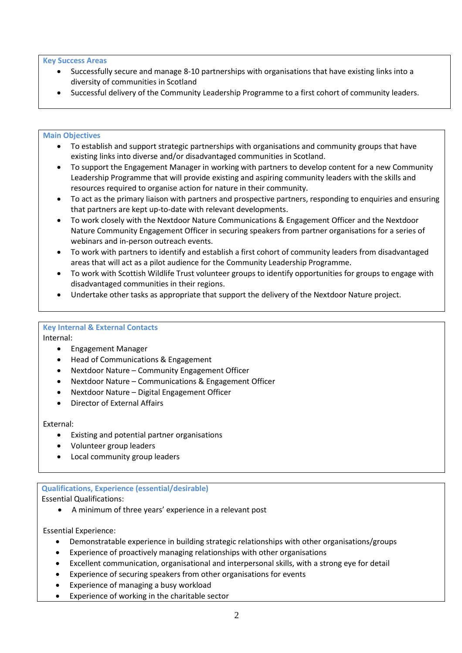# **Key Success Areas**

- Successfully secure and manage 8-10 partnerships with organisations that have existing links into a diversity of communities in Scotland
- Successful delivery of the Community Leadership Programme to a first cohort of community leaders.

# **Main Objectives**

- To establish and support strategic partnerships with organisations and community groups that have existing links into diverse and/or disadvantaged communities in Scotland.
- To support the Engagement Manager in working with partners to develop content for a new Community Leadership Programme that will provide existing and aspiring community leaders with the skills and resources required to organise action for nature in their community.
- To act as the primary liaison with partners and prospective partners, responding to enquiries and ensuring that partners are kept up-to-date with relevant developments.
- To work closely with the Nextdoor Nature Communications & Engagement Officer and the Nextdoor Nature Community Engagement Officer in securing speakers from partner organisations for a series of webinars and in-person outreach events.
- To work with partners to identify and establish a first cohort of community leaders from disadvantaged areas that will act as a pilot audience for the Community Leadership Programme.
- To work with Scottish Wildlife Trust volunteer groups to identify opportunities for groups to engage with disadvantaged communities in their regions.
- Undertake other tasks as appropriate that support the delivery of the Nextdoor Nature project.

# **Key Internal & External Contacts**

Internal:

- Engagement Manager
- Head of Communications & Engagement
- Nextdoor Nature Community Engagement Officer
- Nextdoor Nature Communications & Engagement Officer
- Nextdoor Nature Digital Engagement Officer
- Director of External Affairs

# External:

- Existing and potential partner organisations
- Volunteer group leaders
- Local community group leaders

# **Qualifications, Experience (essential/desirable)**

Essential Qualifications:

• A minimum of three years' experience in a relevant post

# Essential Experience:

- Demonstratable experience in building strategic relationships with other organisations/groups
- Experience of proactively managing relationships with other organisations
- Excellent communication, organisational and interpersonal skills, with a strong eye for detail
- Experience of securing speakers from other organisations for events
- Experience of managing a busy workload
- Experience of working in the charitable sector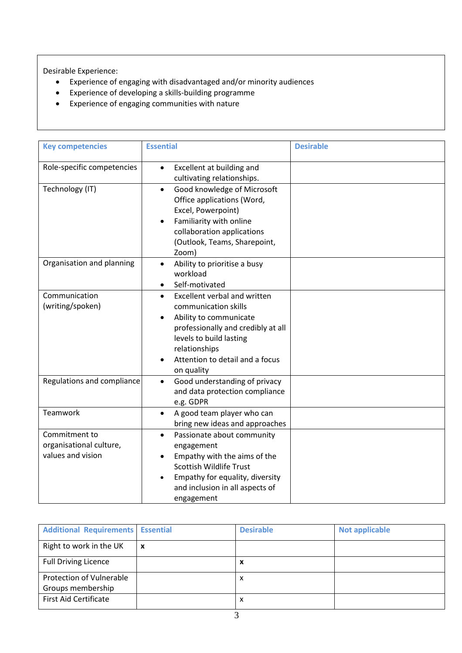Desirable Experience:

- Experience of engaging with disadvantaged and/or minority audiences
- Experience of developing a skills-building programme
- Experience of engaging communities with nature

| <b>Key competencies</b>                                       | <b>Essential</b>                                                                                                                                                                                                               | <b>Desirable</b> |  |
|---------------------------------------------------------------|--------------------------------------------------------------------------------------------------------------------------------------------------------------------------------------------------------------------------------|------------------|--|
|                                                               |                                                                                                                                                                                                                                |                  |  |
| Role-specific competencies                                    | Excellent at building and<br>$\bullet$<br>cultivating relationships.                                                                                                                                                           |                  |  |
| Technology (IT)                                               | Good knowledge of Microsoft<br>$\bullet$<br>Office applications (Word,<br>Excel, Powerpoint)<br>Familiarity with online<br>collaboration applications<br>(Outlook, Teams, Sharepoint,<br>Zoom)                                 |                  |  |
| Organisation and planning                                     | Ability to prioritise a busy<br>$\bullet$<br>workload<br>Self-motivated<br>$\bullet$                                                                                                                                           |                  |  |
| Communication<br>(writing/spoken)                             | Excellent verbal and written<br>$\bullet$<br>communication skills<br>Ability to communicate<br>professionally and credibly at all<br>levels to build lasting<br>relationships<br>Attention to detail and a focus<br>on quality |                  |  |
| Regulations and compliance                                    | Good understanding of privacy<br>$\bullet$<br>and data protection compliance<br>e.g. GDPR                                                                                                                                      |                  |  |
| <b>Teamwork</b>                                               | A good team player who can<br>$\bullet$<br>bring new ideas and approaches                                                                                                                                                      |                  |  |
| Commitment to<br>organisational culture,<br>values and vision | Passionate about community<br>$\bullet$<br>engagement<br>Empathy with the aims of the<br>Scottish Wildlife Trust<br>Empathy for equality, diversity<br>$\bullet$<br>and inclusion in all aspects of<br>engagement              |                  |  |

| <b>Additional Requirements</b>  | <b>Essential</b> | <b>Desirable</b> | <b>Not applicable</b> |
|---------------------------------|------------------|------------------|-----------------------|
| Right to work in the UK         | x                |                  |                       |
| <b>Full Driving Licence</b>     |                  | х                |                       |
| <b>Protection of Vulnerable</b> |                  | x                |                       |
| Groups membership               |                  |                  |                       |
| <b>First Aid Certificate</b>    |                  | x                |                       |